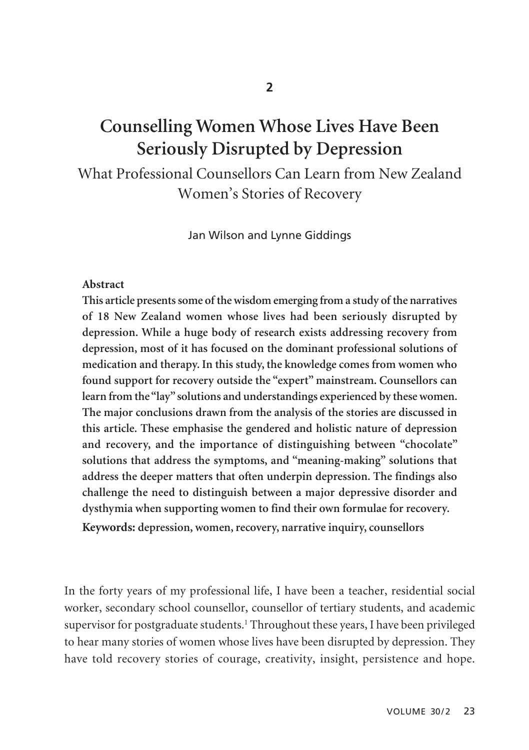# **Counselling Women Whose Lives Have Been Seriously Disrupted by Depression**

What Professional Counsellors Can Learn from New Zealand Women's Stories of Recovery

Jan Wilson and Lynne Giddings

#### **Abstract**

**This article presents some of the wisdom emerging from a study of the narratives of 18 New Zealand women whose lives had been seriously disrupted by depression. While a huge body of research exists addressing recovery from depression, most of it has focused on the dominant professional solutions of medication and therapy. In this study, the knowledge comes from women who found support for recovery outside the "expert" mainstream. Counsellors can learn from the "lay" solutions and understandings experienced by these women. The major conclusions drawn from the analysis of the stories are discussed in this article. These emphasise the gendered and holistic nature of depression and recovery, and the importance of distinguishing between "chocolate" solutions that address the symptoms, and "meaning-making" solutions that address the deeper matters that often underpin depression. The findings also challenge the need to distinguish between a major depressive disorder and dysthymia when supporting women to find their own formulae for recovery.**

**Keywords: depression, women, recovery, narrative inquiry, counsellors**

In the forty years of my professional life, I have been a teacher, residential social worker, secondary school counsellor, counsellor of tertiary students, and academic supervisor for postgraduate students.<sup>1</sup> Throughout these years, I have been privileged to hear many stories of women whose lives have been disrupted by depression. They have told recovery stories of courage, creativity, insight, persistence and hope.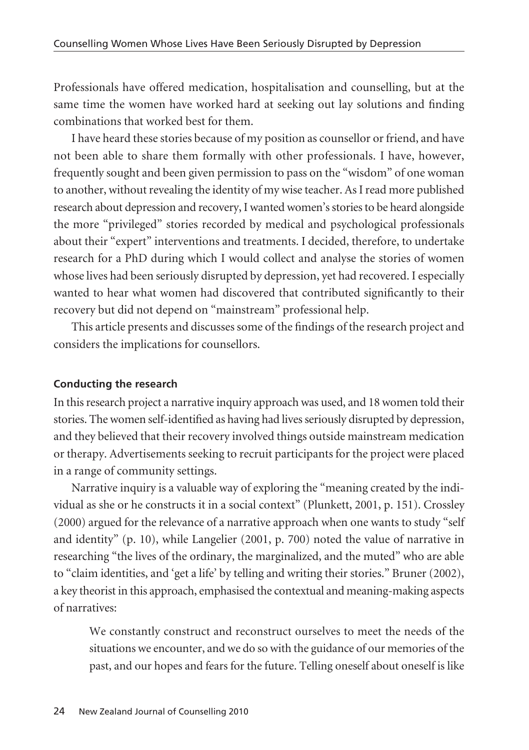Professionals have offered medication, hospitalisation and counselling, but at the same time the women have worked hard at seeking out lay solutions and finding combinations that worked best for them.

I have heard these stories because of my position as counsellor or friend, and have not been able to share them formally with other professionals. I have, however, frequently sought and been given permission to pass on the "wisdom" of one woman to another, without revealing the identity of my wise teacher. As I read more published research about depression and recovery, I wanted women's stories to be heard alongside the more "privileged" stories recorded by medical and psychological professionals about their "expert" interventions and treatments. I decided, therefore, to undertake research for a PhD during which I would collect and analyse the stories of women whose lives had been seriously disrupted by depression, yet had recovered. I especially wanted to hear what women had discovered that contributed significantly to their recovery but did not depend on "mainstream" professional help.

This article presents and discusses some of the findings of the research project and considers the implications for counsellors.

### **Conducting the research**

In this research project a narrative inquiry approach was used, and 18 women told their stories. The women self-identified as having had lives seriously disrupted by depression, and they believed that their recovery involved things outside mainstream medication or therapy. Advertisements seeking to recruit participants for the project were placed in a range of community settings.

Narrative inquiry is a valuable way of exploring the "meaning created by the individual as she or he constructs it in a social context" (Plunkett, 2001, p. 151). Crossley (2000) argued for the relevance of a narrative approach when one wants to study "self and identity" (p. 10), while Langelier (2001, p. 700) noted the value of narrative in researching "the lives of the ordinary, the marginalized, and the muted" who are able to "claim identities, and 'get a life' by telling and writing their stories." Bruner (2002), a key theorist in this approach, emphasised the contextual and meaning-making aspects of narratives:

We constantly construct and reconstruct ourselves to meet the needs of the situations we encounter, and we do so with the guidance of our memories of the past, and our hopes and fears for the future. Telling oneself about oneself is like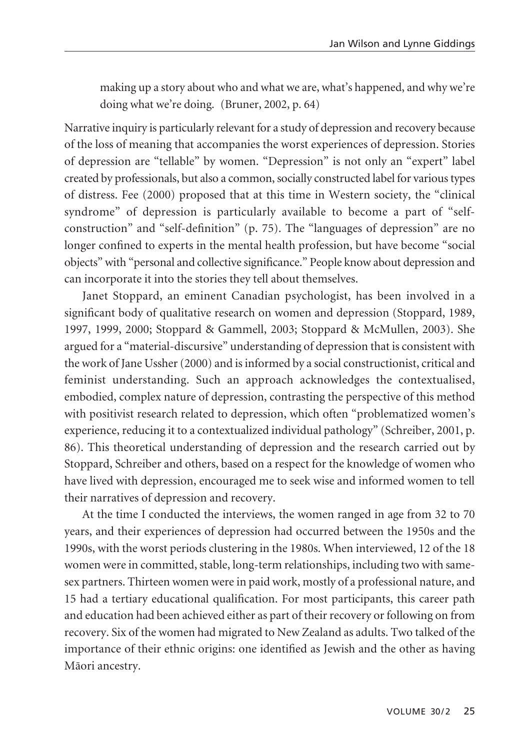making up a story about who and what we are, what's happened, and why we're doing what we're doing. (Bruner, 2002, p. 64)

Narrative inquiry is particularly relevant for a study of depression and recovery because of the loss of meaning that accompanies the worst experiences of depression. Stories of depression are "tellable" by women. "Depression" is not only an "expert" label created by professionals, but also a common, socially constructed label for various types of distress. Fee (2000) proposed that at this time in Western society, the "clinical syndrome" of depression is particularly available to become a part of "selfconstruction" and "self-definition" (p. 75). The "languages of depression" are no longer confined to experts in the mental health profession, but have become "social objects" with "personal and collective significance." People know about depression and can incorporate it into the stories they tell about themselves.

Janet Stoppard, an eminent Canadian psychologist, has been involved in a significant body of qualitative research on women and depression (Stoppard, 1989, 1997, 1999, 2000; Stoppard & Gammell, 2003; Stoppard & McMullen, 2003). She argued for a "material-discursive" understanding of depression that is consistent with the work of Jane Ussher (2000) and is informed by a social constructionist, critical and feminist understanding. Such an approach acknowledges the contextualised, embodied, complex nature of depression, contrasting the perspective of this method with positivist research related to depression, which often "problematized women's experience, reducing it to a contextualized individual pathology" (Schreiber, 2001, p. 86). This theoretical understanding of depression and the research carried out by Stoppard, Schreiber and others, based on a respect for the knowledge of women who have lived with depression, encouraged me to seek wise and informed women to tell their narratives of depression and recovery.

At the time I conducted the interviews, the women ranged in age from 32 to 70 years, and their experiences of depression had occurred between the 1950s and the 1990s, with the worst periods clustering in the 1980s. When interviewed, 12 of the 18 women were in committed, stable, long-term relationships, including two with samesex partners. Thirteen women were in paid work, mostly of a professional nature, and 15 had a tertiary educational qualification. For most participants, this career path and education had been achieved either as part of their recovery or following on from recovery. Six of the women had migrated to New Zealand as adults. Two talked of the importance of their ethnic origins: one identified as Jewish and the other as having Mäori ancestry.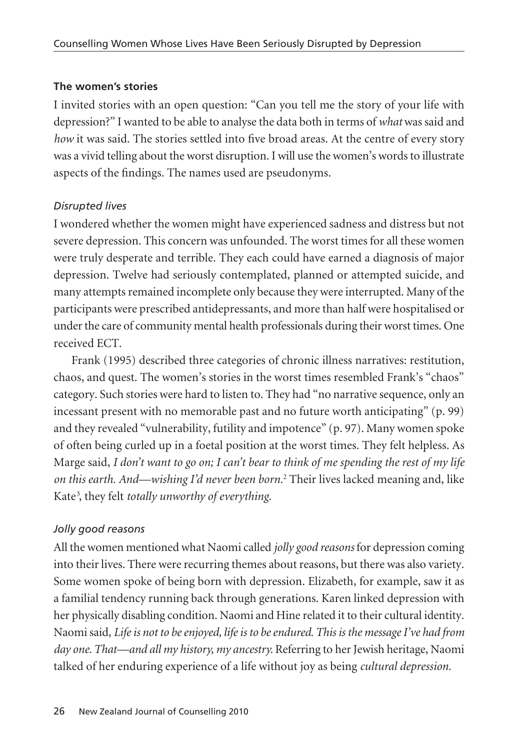### **The women's stories**

I invited stories with an open question: "Can you tell me the story of your life with depression?" I wanted to be able to analyse the data both in terms of *what* was said and *how* it was said. The stories settled into five broad areas. At the centre of every story was a vivid telling about the worst disruption. I will use the women's words to illustrate aspects of the findings. The names used are pseudonyms.

### *Disrupted lives*

I wondered whether the women might have experienced sadness and distress but not severe depression. This concern was unfounded. The worst times for all these women were truly desperate and terrible. They each could have earned a diagnosis of major depression. Twelve had seriously contemplated, planned or attempted suicide, and many attempts remained incomplete only because they were interrupted. Many of the participants were prescribed antidepressants, and more than half were hospitalised or under the care of community mental health professionals during their worst times. One received ECT.

Frank (1995) described three categories of chronic illness narratives: restitution, chaos, and quest. The women's stories in the worst times resembled Frank's "chaos" category. Such stories were hard to listen to. They had "no narrative sequence, only an incessant present with no memorable past and no future worth anticipating" (p. 99) and they revealed "vulnerability, futility and impotence" (p. 97). Many women spoke of often being curled up in a foetal position at the worst times. They felt helpless. As Marge said, *I don't want to go on; I can't bear to think of me spending the rest of my life on this earth. And—wishing I'd never been born.*<sup>2</sup> Their lives lacked meaning and, like Kate3 , they felt *totally unworthy of everything.*

# *Jolly good reasons*

All the women mentioned what Naomi called *jolly good reasons* for depression coming into their lives. There were recurring themes about reasons, but there was also variety. Some women spoke of being born with depression. Elizabeth, for example, saw it as a familial tendency running back through generations. Karen linked depression with her physically disabling condition. Naomi and Hine related it to their cultural identity. Naomi said, *Life is not to be enjoyed, life is to be endured. This is the message I've had from day one. That—and all my history, my ancestry.* Referring to her Jewish heritage, Naomi talked of her enduring experience of a life without joy as being *cultural depression.*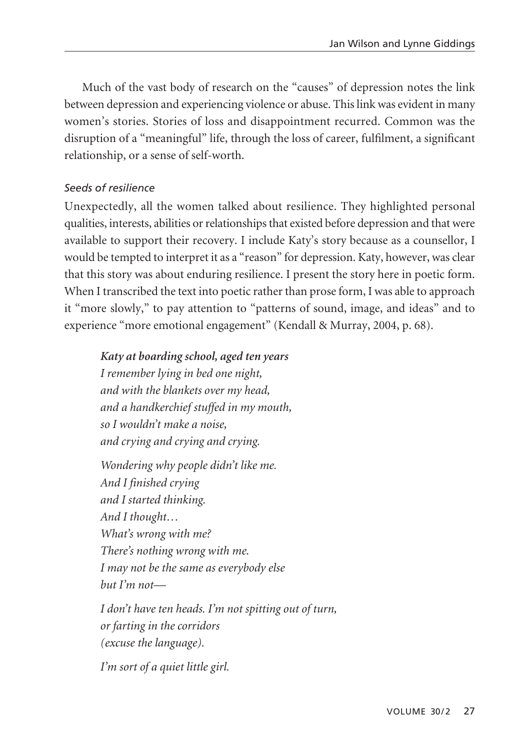Much of the vast body of research on the "causes" of depression notes the link between depression and experiencing violence or abuse. This link was evident in many women's stories. Stories of loss and disappointment recurred. Common was the disruption of a "meaningful" life, through the loss of career, fulfilment, a significant relationship, or a sense of self-worth.

### *Seeds of resilience*

Unexpectedly, all the women talked about resilience. They highlighted personal qualities, interests, abilities or relationships that existed before depression and that were available to support their recovery. I include Katy's story because as a counsellor, I would be tempted to interpret it as a "reason" for depression. Katy, however, was clear that this story was about enduring resilience. I present the story here in poetic form. When I transcribed the text into poetic rather than prose form, I was able to approach it "more slowly," to pay attention to "patterns of sound, image, and ideas" and to experience "more emotional engagement" (Kendall & Murray, 2004, p. 68).

*Katy at boarding school, aged ten years I remember lying in bed one night, and with the blankets over my head, and a handkerchief stuffed in my mouth, so I wouldn't make a noise, and crying and crying and crying.*

*Wondering why people didn't like me. And I finished crying and I started thinking. And I thought… What's wrong with me? There's nothing wrong with me. I may not be the same as everybody else but I'm not—*

*I don't have ten heads. I'm not spitting out of turn, or farting in the corridors (excuse the language).*

*I'm sort of a quiet little girl.*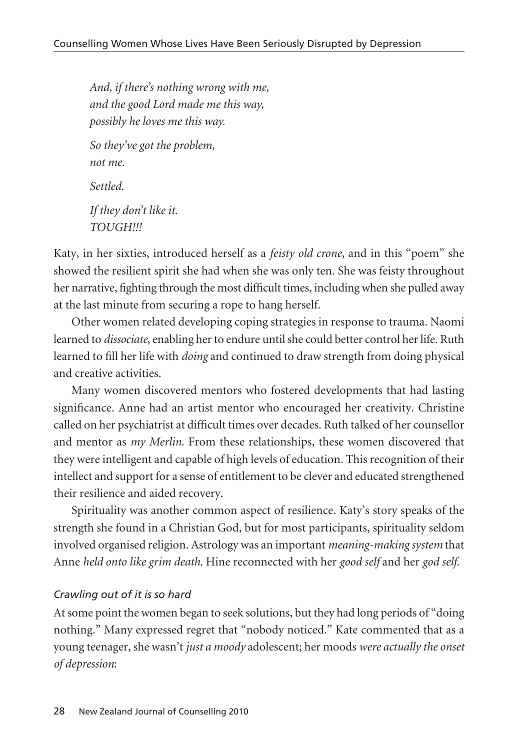*And, if there's nothing wrong with me, and the good Lord made me this way, possibly he loves me this way. So they've got the problem, not me. Settled. If they don't like it. TOUGH!!!*

Katy, in her sixties, introduced herself as a *feisty old crone*, and in this "poem" she showed the resilient spirit she had when she was only ten. She was feisty throughout her narrative, fighting through the most difficult times, including when she pulled away at the last minute from securing a rope to hang herself.

Other women related developing coping strategies in response to trauma. Naomi learned to *dissociate*, enabling her to endure until she could better control her life. Ruth learned to fill her life with *doing* and continued to draw strength from doing physical and creative activities.

Many women discovered mentors who fostered developments that had lasting significance. Anne had an artist mentor who encouraged her creativity. Christine called on her psychiatrist at difficult times over decades. Ruth talked of her counsellor and mentor as *my Merlin*. From these relationships, these women discovered that they were intelligent and capable of high levels of education. This recognition of their intellect and support for a sense of entitlement to be clever and educated strengthened their resilience and aided recovery.

Spirituality was another common aspect of resilience. Katy's story speaks of the strength she found in a Christian God, but for most participants, spirituality seldom involved organised religion. Astrology was an important *meaning-making system* that Anne *held onto like grim death*. Hine reconnected with her *good self* and her *god self*.

### *Crawling out of it is so hard*

At some point the women began to seek solutions, but they had long periods of "doing nothing." Many expressed regret that "nobody noticed." Kate commented that as a young teenager, she wasn't *just a moody* adolescent; her moods *were actually the onset of depression*: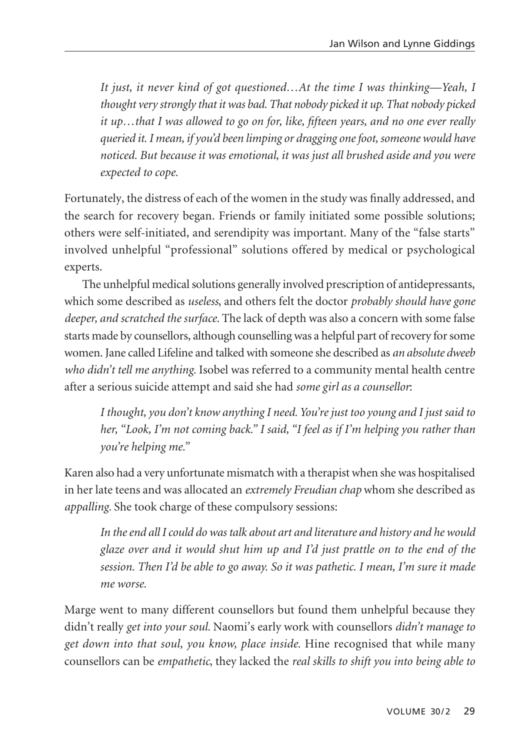*It just, it never kind of got questioned…At the time I was thinking—Yeah, I thought very strongly that it was bad. That nobody picked it up. That nobody picked it up…that I was allowed to go on for, like, fifteen years, and no one ever really queried it. I mean, if you'd been limping or dragging one foot, someone would have noticed. But because it was emotional, it was just all brushed aside and you were expected to cope.*

Fortunately, the distress of each of the women in the study was finally addressed, and the search for recovery began. Friends or family initiated some possible solutions; others were self-initiated, and serendipity was important. Many of the "false starts" involved unhelpful "professional" solutions offered by medical or psychological experts.

The unhelpful medical solutions generally involved prescription of antidepressants, which some described as *useless*, and others felt the doctor *probably should have gone deeper, and scratched the surface.* The lack of depth was also a concern with some false starts made by counsellors, although counselling was a helpful part of recovery for some women. Jane called Lifeline and talked with someone she described as *an absolute dweeb who didn't tell me anything.* Isobel was referred to a community mental health centre after a serious suicide attempt and said she had *some girl as a counsellor*:

*I thought, you don't know anything I need. You're just too young and I just said to her, "Look, I'm not coming back." I said, "I feel as if I'm helping you rather than you're helping me."* 

Karen also had a very unfortunate mismatch with a therapist when she was hospitalised in her late teens and was allocated an *extremely Freudian chap* whom she described as *appalling.* She took charge of these compulsory sessions:

*In the end all I could do was talk about art and literature and history and he would glaze over and it would shut him up and I'd just prattle on to the end of the session. Then I'd be able to go away. So it was pathetic. I mean, I'm sure it made me worse.*

Marge went to many different counsellors but found them unhelpful because they didn't really *get into your soul.* Naomi's early work with counsellors *didn't manage to get down into that soul, you know, place inside.* Hine recognised that while many counsellors can be *empathetic*, they lacked the *real skills to shift you into being able to*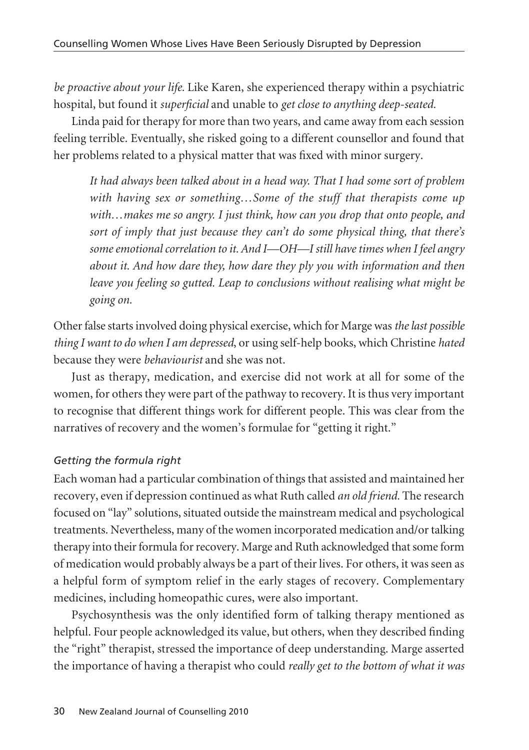*be proactive about your life.* Like Karen, she experienced therapy within a psychiatric hospital, but found it *superficial* and unable to *get close to anything deep-seated.* 

Linda paid for therapy for more than two years, and came away from each session feeling terrible. Eventually, she risked going to a different counsellor and found that her problems related to a physical matter that was fixed with minor surgery.

*It had always been talked about in a head way. That I had some sort of problem with having sex or something…Some of the stuff that therapists come up with…makes me so angry. I just think, how can you drop that onto people, and sort of imply that just because they can't do some physical thing, that there's some emotional correlation to it. And I—OH—I still have times when I feel angry about it. And how dare they, how dare they ply you with information and then leave you feeling so gutted. Leap to conclusions without realising what might be going on.*

Other false starts involved doing physical exercise, which for Marge was *the last possible thing I want to do when I am depressed*, or using self-help books, which Christine *hated* because they were *behaviourist* and she was not.

Just as therapy, medication, and exercise did not work at all for some of the women, for others they were part of the pathway to recovery. It is thus very important to recognise that different things work for different people. This was clear from the narratives of recovery and the women's formulae for "getting it right."

### *Getting the formula right*

Each woman had a particular combination of things that assisted and maintained her recovery, even if depression continued as what Ruth called *an old friend.* The research focused on "lay" solutions, situated outside the mainstream medical and psychological treatments. Nevertheless, many of the women incorporated medication and/or talking therapy into their formula for recovery. Marge and Ruth acknowledged that some form of medication would probably always be a part of their lives. For others, it was seen as a helpful form of symptom relief in the early stages of recovery. Complementary medicines, including homeopathic cures, were also important.

Psychosynthesis was the only identified form of talking therapy mentioned as helpful. Four people acknowledged its value, but others, when they described finding the "right" therapist, stressed the importance of deep understanding. Marge asserted the importance of having a therapist who could *really get to the bottom of what it was*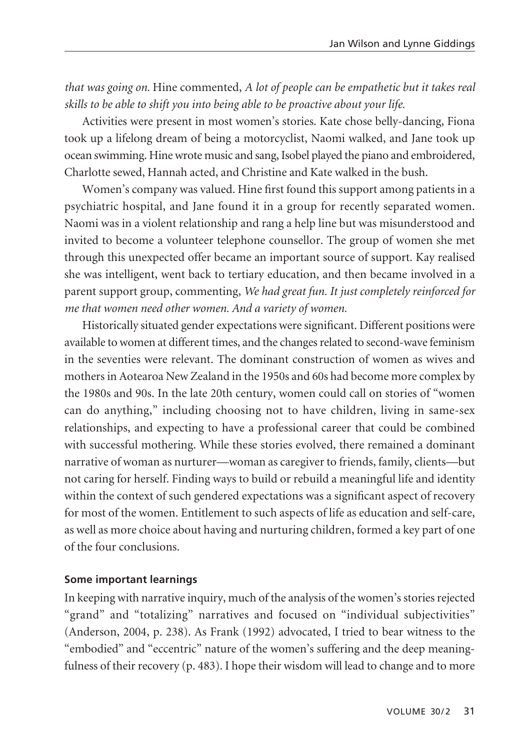*that was going on.* Hine commented, *A lot of people can be empathetic but it takes real skills to be able to shift you into being able to be proactive about your life.*

Activities were present in most women's stories. Kate chose belly-dancing, Fiona took up a lifelong dream of being a motorcyclist, Naomi walked, and Jane took up ocean swimming. Hine wrote music and sang, Isobel played the piano and embroidered, Charlotte sewed, Hannah acted, and Christine and Kate walked in the bush.

Women's company was valued. Hine first found this support among patients in a psychiatric hospital, and Jane found it in a group for recently separated women. Naomi was in a violent relationship and rang a help line but was misunderstood and invited to become a volunteer telephone counsellor. The group of women she met through this unexpected offer became an important source of support. Kay realised she was intelligent, went back to tertiary education, and then became involved in a parent support group, commenting, *We had great fun. It just completely reinforced for me that women need other women. And a variety of women.*

Historically situated gender expectations were significant. Different positions were available to women at different times, and the changes related to second-wave feminism in the seventies were relevant. The dominant construction of women as wives and mothers in Aotearoa New Zealand in the 1950s and 60s had become more complex by the 1980s and 90s. In the late 20th century, women could call on stories of "women can do anything," including choosing not to have children, living in same-sex relationships, and expecting to have a professional career that could be combined with successful mothering. While these stories evolved, there remained a dominant narrative of woman as nurturer—woman as caregiver to friends, family, clients—but not caring for herself. Finding ways to build or rebuild a meaningful life and identity within the context of such gendered expectations was a significant aspect of recovery for most of the women. Entitlement to such aspects of life as education and self-care, as well as more choice about having and nurturing children, formed a key part of one of the four conclusions.

#### **Some important learnings**

In keeping with narrative inquiry, much of the analysis of the women's stories rejected "grand" and "totalizing" narratives and focused on "individual subjectivities" (Anderson, 2004, p. 238). As Frank (1992) advocated, I tried to bear witness to the "embodied" and "eccentric" nature of the women's suffering and the deep meaningfulness of their recovery (p. 483). I hope their wisdom will lead to change and to more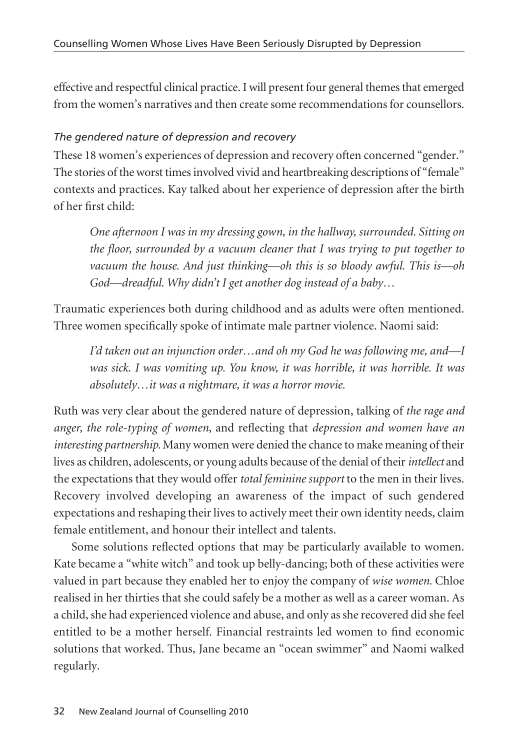effective and respectful clinical practice. I will present four general themes that emerged from the women's narratives and then create some recommendations for counsellors.

# *The gendered nature of depression and recovery*

These 18 women's experiences of depression and recovery often concerned "gender." The stories of the worst times involved vivid and heartbreaking descriptions of "female" contexts and practices. Kay talked about her experience of depression after the birth of her first child:

*One afternoon I was in my dressing gown, in the hallway, surrounded. Sitting on the floor, surrounded by a vacuum cleaner that I was trying to put together to vacuum the house. And just thinking—oh this is so bloody awful. This is—oh God—dreadful. Why didn't I get another dog instead of a baby…*

Traumatic experiences both during childhood and as adults were often mentioned. Three women specifically spoke of intimate male partner violence. Naomi said:

*I'd taken out an injunction order…and oh my God he was following me, and—I was sick. I was vomiting up. You know, it was horrible, it was horrible. It was absolutely…it was a nightmare, it was a horror movie.*

Ruth was very clear about the gendered nature of depression, talking of *the rage and anger, the role-typing of women*, and reflecting that *depression and women have an interesting partnership.* Many women were denied the chance to make meaning of their lives as children, adolescents, or young adults because of the denial of their *intellect* and the expectations that they would offer *total feminine support* to the men in their lives. Recovery involved developing an awareness of the impact of such gendered expectations and reshaping their lives to actively meet their own identity needs, claim female entitlement, and honour their intellect and talents.

Some solutions reflected options that may be particularly available to women. Kate became a "white witch" and took up belly-dancing; both of these activities were valued in part because they enabled her to enjoy the company of *wise women.* Chloe realised in her thirties that she could safely be a mother as well as a career woman. As a child, she had experienced violence and abuse, and only as she recovered did she feel entitled to be a mother herself. Financial restraints led women to find economic solutions that worked. Thus, Jane became an "ocean swimmer" and Naomi walked regularly.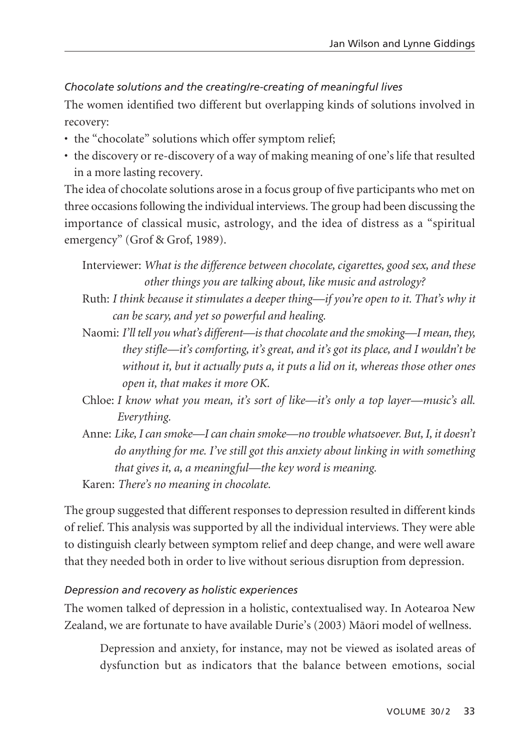### *Chocolate solutions and the creating/re-creating of meaningful lives*

The women identified two different but overlapping kinds of solutions involved in recovery:

- the "chocolate" solutions which offer symptom relief;
- the discovery or re-discovery of a way of making meaning of one's life that resulted in a more lasting recovery.

The idea of chocolate solutions arose in a focus group of five participants who met on three occasions following the individual interviews. The group had been discussing the importance of classical music, astrology, and the idea of distress as a "spiritual emergency" (Grof & Grof, 1989).

```
Interviewer: What is the difference between chocolate, cigarettes, good sex, and these
 other things you are talking about, like music and astrology?
```
- Ruth: *I think because it stimulates a deeper thing—if you're open to it. That's why it can be scary, and yet so powerful and healing.*
- Naomi: *I'll tell you what's different—is that chocolate and the smoking—I mean, they, they stifle—it's comforting, it's great, and it's got its place, and I wouldn't be without it, but it actually puts a, it puts a lid on it, whereas those other ones open it, that makes it more OK.*
- Chloe: *I know what you mean, it's sort of like—it's only a top layer—music's all. Everything.*
- Anne: *Like, I can smoke—I can chain smoke—no trouble whatsoever. But, I, it doesn't do anything for me. I've still got this anxiety about linking in with something that gives it, a, a meaningful—the key word is meaning.*

Karen: *There's no meaning in chocolate.*

The group suggested that different responses to depression resulted in different kinds of relief. This analysis was supported by all the individual interviews. They were able to distinguish clearly between symptom relief and deep change, and were well aware that they needed both in order to live without serious disruption from depression.

#### *Depression and recovery as holistic experiences*

The women talked of depression in a holistic, contextualised way. In Aotearoa New Zealand, we are fortunate to have available Durie's (2003) Mäori model of wellness.

Depression and anxiety, for instance, may not be viewed as isolated areas of dysfunction but as indicators that the balance between emotions, social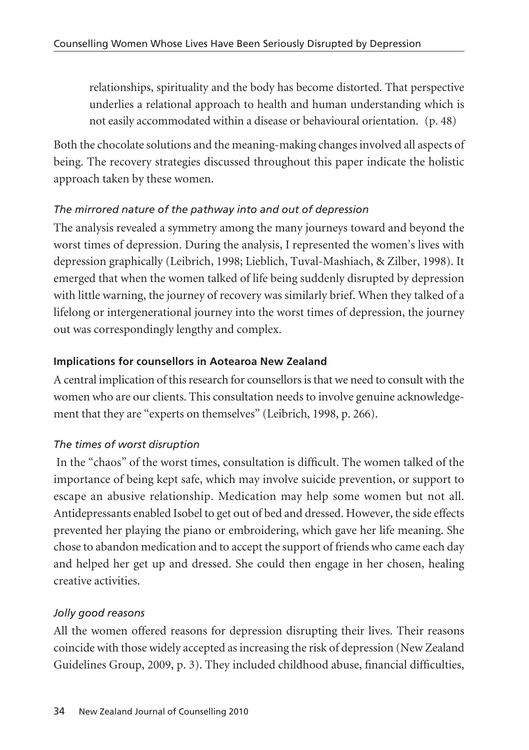relationships, spirituality and the body has become distorted. That perspective underlies a relational approach to health and human understanding which is not easily accommodated within a disease or behavioural orientation. (p. 48)

Both the chocolate solutions and the meaning-making changes involved all aspects of being. The recovery strategies discussed throughout this paper indicate the holistic approach taken by these women.

# *The mirrored nature of the pathway into and out of depression*

The analysis revealed a symmetry among the many journeys toward and beyond the worst times of depression. During the analysis, I represented the women's lives with depression graphically (Leibrich, 1998; Lieblich, Tuval-Mashiach, & Zilber, 1998). It emerged that when the women talked of life being suddenly disrupted by depression with little warning, the journey of recovery was similarly brief. When they talked of a lifelong or intergenerational journey into the worst times of depression, the journey out was correspondingly lengthy and complex.

# **Implications for counsellors in Aotearoa New Zealand**

A central implication of this research for counsellors is that we need to consult with the women who are our clients. This consultation needs to involve genuine acknowledgement that they are "experts on themselves" (Leibrich, 1998, p. 266).

# *The times of worst disruption*

In the "chaos" of the worst times, consultation is difficult. The women talked of the importance of being kept safe, which may involve suicide prevention, or support to escape an abusive relationship. Medication may help some women but not all. Antidepressants enabled Isobel to get out of bed and dressed. However, the side effects prevented her playing the piano or embroidering, which gave her life meaning. She chose to abandon medication and to accept the support of friends who came each day and helped her get up and dressed. She could then engage in her chosen, healing creative activities.

# *Jolly good reasons*

All the women offered reasons for depression disrupting their lives. Their reasons coincide with those widely accepted as increasing the risk of depression (New Zealand Guidelines Group, 2009, p. 3). They included childhood abuse, financial difficulties,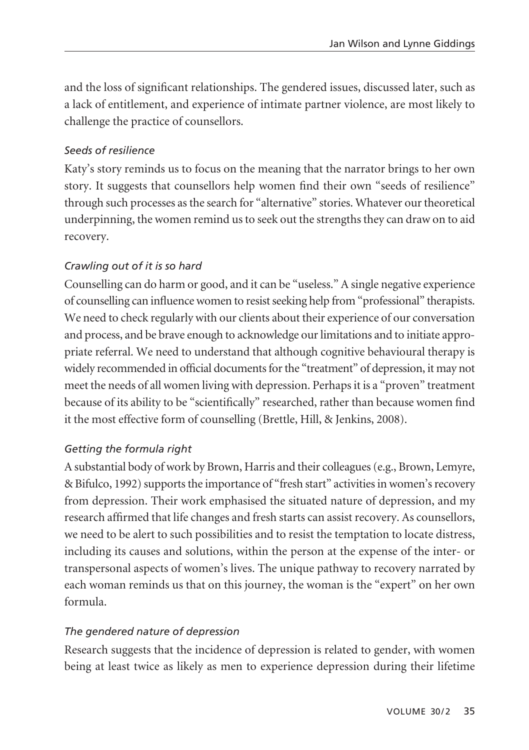and the loss of significant relationships. The gendered issues, discussed later, such as a lack of entitlement, and experience of intimate partner violence, are most likely to challenge the practice of counsellors.

### *Seeds of resilience*

Katy's story reminds us to focus on the meaning that the narrator brings to her own story. It suggests that counsellors help women find their own "seeds of resilience" through such processes as the search for "alternative" stories. Whatever our theoretical underpinning, the women remind us to seek out the strengths they can draw on to aid recovery.

### *Crawling out of it is so hard*

Counselling can do harm or good, and it can be "useless." A single negative experience of counselling can influence women to resist seeking help from "professional" therapists. We need to check regularly with our clients about their experience of our conversation and process, and be brave enough to acknowledge our limitations and to initiate appropriate referral. We need to understand that although cognitive behavioural therapy is widely recommended in official documents for the "treatment" of depression, it may not meet the needs of all women living with depression. Perhaps it is a "proven" treatment because of its ability to be "scientifically" researched, rather than because women find it the most effective form of counselling (Brettle, Hill, & Jenkins, 2008).

#### *Getting the formula right*

A substantial body of work by Brown, Harris and their colleagues (e.g., Brown, Lemyre, & Bifulco, 1992) supports the importance of "fresh start" activities in women's recovery from depression. Their work emphasised the situated nature of depression, and my research affirmed that life changes and fresh starts can assist recovery. As counsellors, we need to be alert to such possibilities and to resist the temptation to locate distress, including its causes and solutions, within the person at the expense of the inter- or transpersonal aspects of women's lives. The unique pathway to recovery narrated by each woman reminds us that on this journey, the woman is the "expert" on her own formula.

#### *The gendered nature of depression*

Research suggests that the incidence of depression is related to gender, with women being at least twice as likely as men to experience depression during their lifetime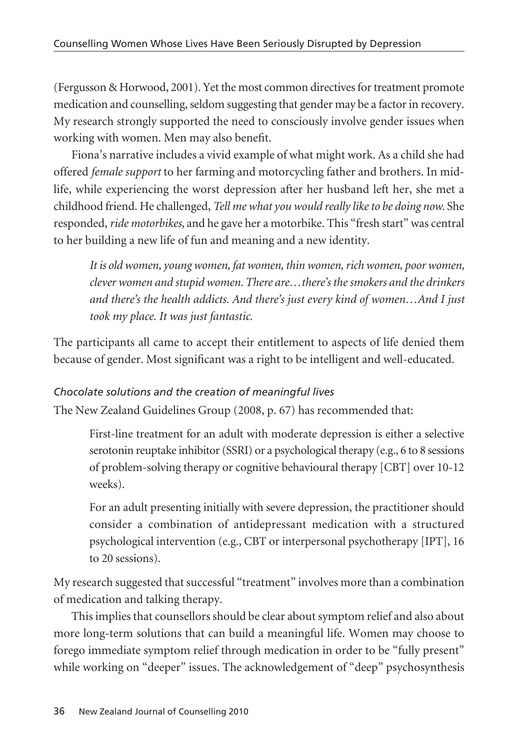(Fergusson & Horwood, 2001). Yet the most common directives for treatment promote medication and counselling, seldom suggesting that gender may be a factor in recovery. My research strongly supported the need to consciously involve gender issues when working with women. Men may also benefit.

Fiona's narrative includes a vivid example of what might work. As a child she had offered *female support* to her farming and motorcycling father and brothers. In midlife, while experiencing the worst depression after her husband left her, she met a childhood friend. He challenged, *Tell me what you would really like to be doing now.* She responded, *ride motorbikes*, and he gave her a motorbike. This "fresh start" was central to her building a new life of fun and meaning and a new identity.

*It is old women, young women, fat women, thin women, rich women, poor women, clever women and stupid women. There are…there's the smokers and the drinkers and there's the health addicts. And there's just every kind of women…And I just took my place. It was just fantastic.*

The participants all came to accept their entitlement to aspects of life denied them because of gender. Most significant was a right to be intelligent and well-educated.

# *Chocolate solutions and the creation of meaningful lives*

The New Zealand Guidelines Group (2008, p. 67) has recommended that:

First-line treatment for an adult with moderate depression is either a selective serotonin reuptake inhibitor (SSRI) or a psychological therapy (e.g., 6 to 8 sessions of problem-solving therapy or cognitive behavioural therapy [CBT] over 10-12 weeks).

For an adult presenting initially with severe depression, the practitioner should consider a combination of antidepressant medication with a structured psychological intervention (e.g., CBT or interpersonal psychotherapy [IPT], 16 to 20 sessions).

My research suggested that successful "treatment" involves more than a combination of medication and talking therapy.

This implies that counsellors should be clear about symptom relief and also about more long-term solutions that can build a meaningful life. Women may choose to forego immediate symptom relief through medication in order to be "fully present" while working on "deeper" issues. The acknowledgement of "deep" psychosynthesis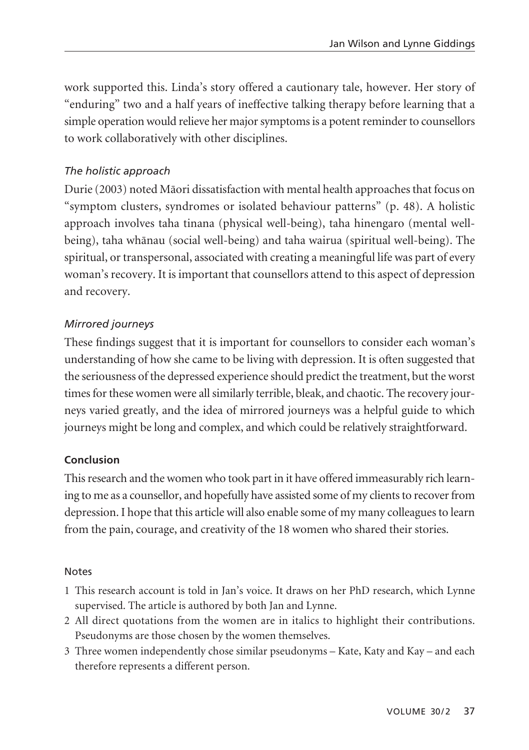work supported this. Linda's story offered a cautionary tale, however. Her story of "enduring" two and a half years of ineffective talking therapy before learning that a simple operation would relieve her major symptoms is a potent reminder to counsellors to work collaboratively with other disciplines.

### *The holistic approach*

Durie (2003) noted Mäori dissatisfaction with mental health approaches that focus on "symptom clusters, syndromes or isolated behaviour patterns" (p. 48). A holistic approach involves taha tinana (physical well-being), taha hinengaro (mental wellbeing), taha whänau (social well-being) and taha wairua (spiritual well-being). The spiritual, or transpersonal, associated with creating a meaningful life was part of every woman's recovery. It is important that counsellors attend to this aspect of depression and recovery.

### *Mirrored journeys*

These findings suggest that it is important for counsellors to consider each woman's understanding of how she came to be living with depression. It is often suggested that the seriousness of the depressed experience should predict the treatment, but the worst times for these women were all similarly terrible, bleak, and chaotic. The recovery journeys varied greatly, and the idea of mirrored journeys was a helpful guide to which journeys might be long and complex, and which could be relatively straightforward.

#### **Conclusion**

This research and the women who took part in it have offered immeasurably rich learning to me as a counsellor, and hopefully have assisted some of my clients to recover from depression. I hope that this article will also enable some of my many colleagues to learn from the pain, courage, and creativity of the 18 women who shared their stories.

#### Notes

- 1 This research account is told in Jan's voice. It draws on her PhD research, which Lynne supervised. The article is authored by both Jan and Lynne.
- 2 All direct quotations from the women are in italics to highlight their contributions. Pseudonyms are those chosen by the women themselves.
- 3 Three women independently chose similar pseudonyms Kate, Katy and Kay and each therefore represents a different person.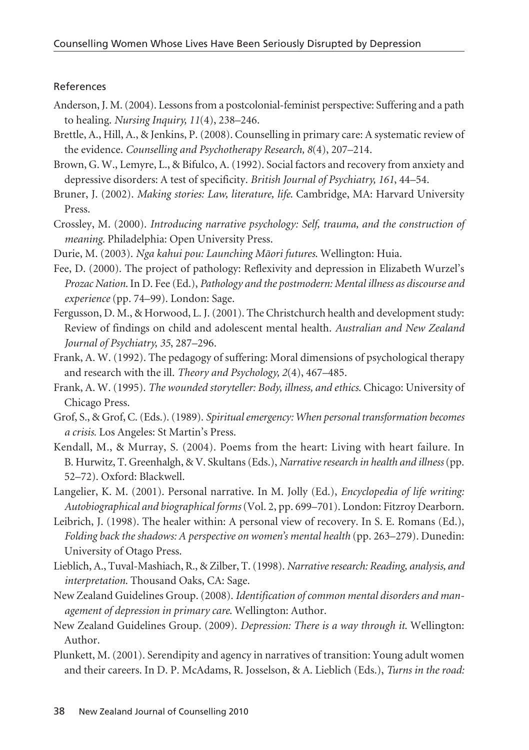#### References

- Anderson, J. M. (2004). Lessons from a postcolonial-feminist perspective: Suffering and a path to healing. *Nursing Inquiry, 11*(4), 238–246.
- Brettle, A., Hill, A., & Jenkins, P. (2008). Counselling in primary care: A systematic review of the evidence. *Counselling and Psychotherapy Research, 8*(4), 207–214.
- Brown, G. W., Lemyre, L., & Bifulco, A. (1992). Social factors and recovery from anxiety and depressive disorders: A test of specificity. *British Journal of Psychiatry, 161*, 44–54.
- Bruner, J. (2002). *Making stories: Law, literature, life*. Cambridge, MA: Harvard University Press.
- Crossley, M. (2000). *Introducing narrative psychology: Self, trauma, and the construction of meaning*. Philadelphia: Open University Press.
- Durie, M. (2003). *Nga kahui pou: Launching Mäori futures*. Wellington: Huia.
- Fee, D. (2000). The project of pathology: Reflexivity and depression in Elizabeth Wurzel's *Prozac Nation*. In D. Fee (Ed.), *Pathology and the postmodern: Mental illness as discourse and experience* (pp. 74–99). London: Sage.
- Fergusson, D. M., & Horwood, L. J. (2001). The Christchurch health and development study: Review of findings on child and adolescent mental health. *Australian and New Zealand Journal of Psychiatry, 35*, 287–296.
- Frank, A. W. (1992). The pedagogy of suffering: Moral dimensions of psychological therapy and research with the ill. *Theory and Psychology, 2*(4), 467–485.
- Frank, A. W. (1995). *The wounded storyteller: Body, illness, and ethics*. Chicago: University of Chicago Press.
- Grof, S., & Grof, C. (Eds.). (1989). *Spiritual emergency: When personal transformation becomes a crisis.* Los Angeles: St Martin's Press.
- Kendall, M., & Murray, S. (2004). Poems from the heart: Living with heart failure. In B. Hurwitz, T. Greenhalgh, & V. Skultans (Eds.), *Narrative research in health and illness*(pp. 52–72). Oxford: Blackwell.
- Langelier, K. M. (2001). Personal narrative. In M. Jolly (Ed.), *Encyclopedia of life writing: Autobiographical and biographical forms* (Vol. 2, pp. 699–701). London: Fitzroy Dearborn.
- Leibrich, J. (1998). The healer within: A personal view of recovery. In S. E. Romans (Ed.), *Folding back the shadows: A perspective on women's mental health* (pp. 263–279). Dunedin: University of Otago Press.
- Lieblich, A., Tuval-Mashiach, R., & Zilber, T. (1998). *Narrative research: Reading, analysis, and interpretation*. Thousand Oaks, CA: Sage.
- New Zealand Guidelines Group. (2008). *Identification of common mental disorders and management of depression in primary care*. Wellington: Author.
- New Zealand Guidelines Group. (2009). *Depression: There is a way through it*. Wellington: Author.
- Plunkett, M. (2001). Serendipity and agency in narratives of transition: Young adult women and their careers. In D. P. McAdams, R. Josselson, & A. Lieblich (Eds.), *Turns in the road:*